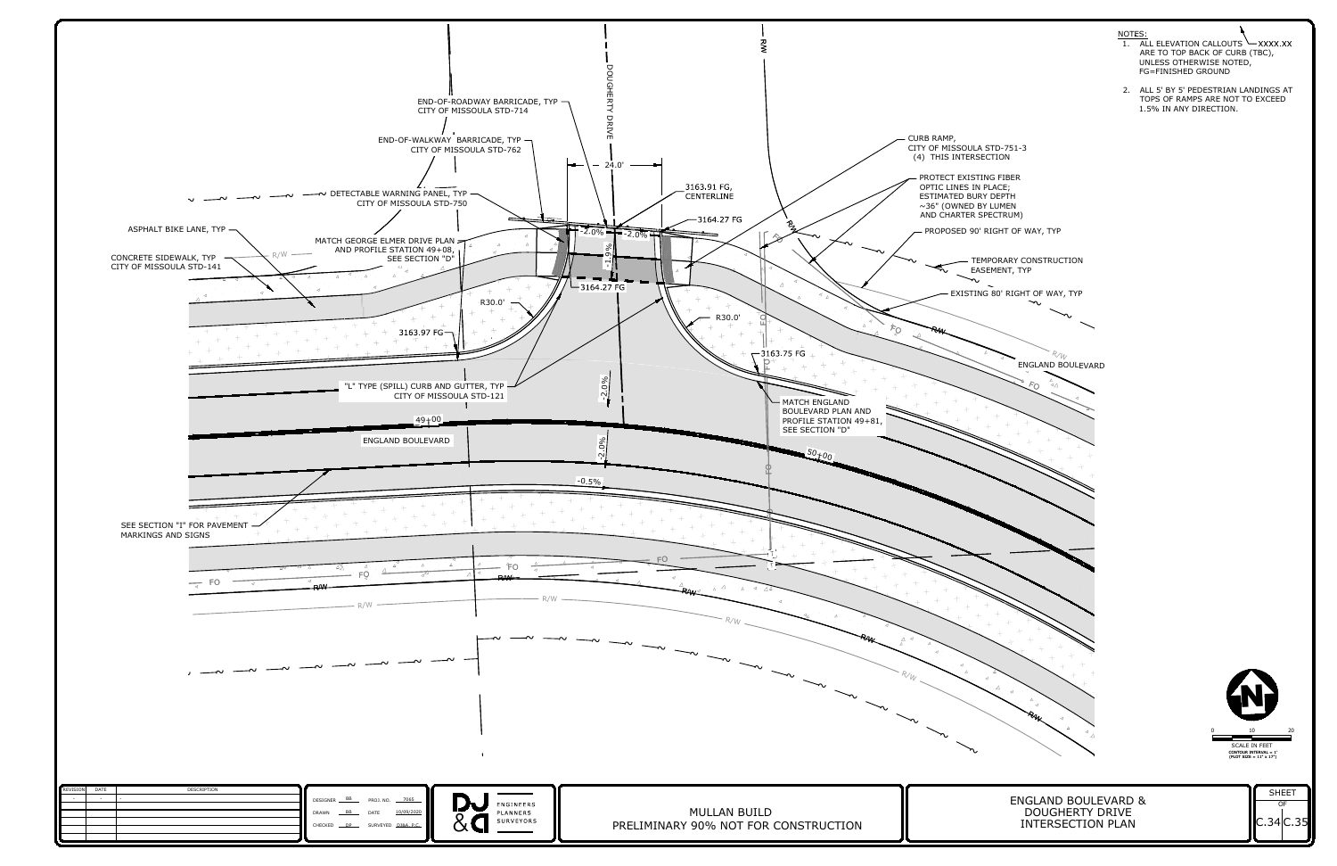~ ~ ~







- 
- 

EXISTING 80' RIGHT OF WAY, TYP